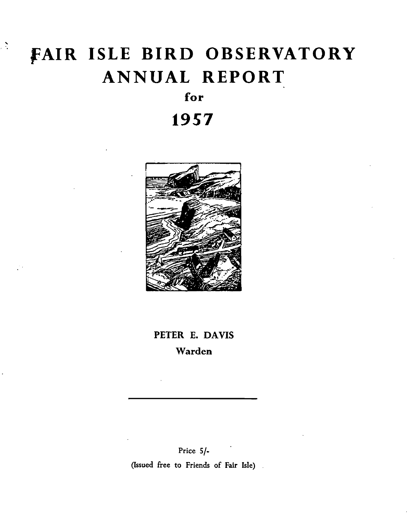# FAIR ISLE BIRD OBSERVATORY **ANNUAL REPORT**

 $\mathcal{L}$ 

# for

# 1957



# PETER E. DAVIS Warden

Price 5/-(Issued free to Friends of Fair Isle).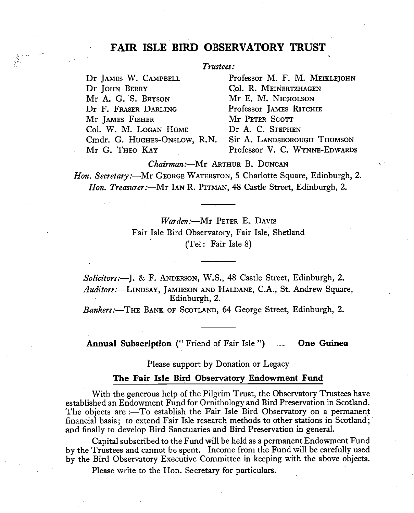# **FAIR ISLE BIRD OBSERVATORY TRUST**

### *Trustees:*

Dr JAMES W. CAMPBELL Dr JOHN BERRY Mr A. G. S. BRYSON Dr F. FRASER DARLING Mr IAMES FISHER Col. W. M. LOGAN HOME Cmdr. G. HUGHEs-ONSLOW, R.N. Mr G. THEO KAY

 $\sum_{\substack{p_1,\ldots,p_k\in\mathbb{N}^k\\(p_1,\ldots,p_k)=1}}\sum_{\substack{p_1,\ldots,p_k\in\mathbb{N}^k\\(p_1,\ldots,p_k)=1}}\frac{1}{p_1^{\frac{k}{k}}}\sum_{\substack{p_1,\ldots,p_k\in\mathbb{N}^k\\(p_1,\ldots,p_k)=1}}\frac{1}{p_1^{\frac{k}{k}}}\sum_{\substack{p_1,\ldots,p_k\in\mathbb{N}^k\\(p_1,\ldots,p_k)=1}}\frac{1}{p_1^{\frac{k}{k}}}\sum_{\substack{p_1,\ldots,p_k\in\mathbb{N}$ 

Professor M. F. M. MEIKLE]OHN Col. R. MEINERTZHAGEN Mr E. M. NICHOLSON Professor JAMES RITCHIE Mr PETER SCOTT Dr A. C. STEPHEN Sir A. LANDSBOROUGH THOMSON Professor V. C. WYNNE-EDWARDS

*Chairman:-Mr* ARTHUR B. DUNcAN

*Hon. Secretary:*---Mr GEORGE WATERSTON, 5 Charlotte Square, Edinburgh, 2. *Hon. Treasurer:-Mr* IAN R. PITMAN, 48 Castle Street, Edinburgh, 2.

> *Warden:-Mr* PETER E. DAVIS Fair Isle Bird Observatory, Fair Isle; Shetland (Tel: Fair Isle 8)

*Sol£citors:-J.* & F. ANDERSON, W.S., 48 Castle Street, Edinburgh, 2. *Auditors:-LINDSAY,* JAMIESON AND HALDANE, C.A., St. Andrew Square, Edinburgh, 2.

Bankers:-THE BANK OF SCOTLAND, 64 George Street, Edinburgh, 2.

Annual Subscription (" Friend of Fair Isle ") **Cone Guinea** 

Please support by Donation or Legacy

#### **The Fair Isle Bird Observatory Endowment Fund**

With the generous help of the Pilgrim Trust, the Observatory Trustees have established an Endowment Fund for Ornithology and Bird Preservation in Scotland. The objects are:—To establish the Fair Isle Bird Observatory on a permanent financial basis; to extend Fair Isle research methods to other stations in Scotland; and finally to develop Bird Sanctuaries and Bird Preservation in general.

Capital subscribed to the Fund will be held as a permanent Endowment Fund by the Trustees and cannot be spent. Income from the Fund will be carefully used by the Bird Observatory Executive Committee in keeping with the above objects.

Please write to the Hon. Secretary for particulars.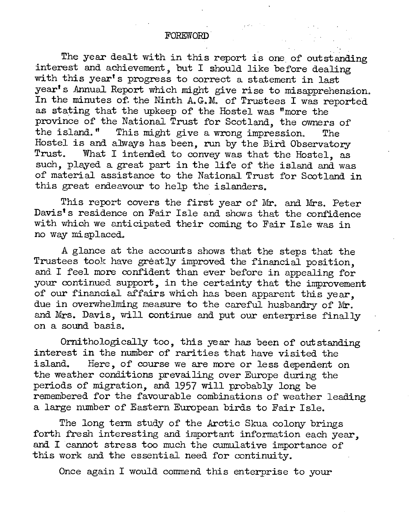The year dealt with in this report is one of outstanding interest and achievement, but I should like before dealing with this year's progress to correct a statement in last year's Annual Report which might give rise to misapprehension. In the minutes of. the Ninth A.G.M. of Trustees I was reported as stating that the upkeep of' the Hostel was "more the province of the National Trust for Scotland, the owners of the island." This might give a wrong impression. The Hostel is and always has been, run by the Bird Observatory<br>Trust. What I intended to convey was that the Hostel as What I intended to convey was that the Hostel, as such, played a great part in the life of the island and was of material assistance to the National Trust for Scotland in this great endeavour to help the islanders.

This report covers the first year of Mr. and Mrs. Peter Davis's residence on Fair Isle and shows that the confidence with which we anticipated their coming to Fair Isle was in no way mi splaced.

A glance at the account s shows that the steps that the Trustees took have greatly improved the financial position. and I feel more confident than ever before in appealing for your continued support, in the certainty that the improvement of our financial affairs which has been apparent this year, due in overwhelming measure to the careful husbandry of Mr. and Mrs. Davis, will continue and put our enterprise finally on a sound basis.

Ornithologically too, this year has been of outstanding interest in the number of rarities that have visited the island. Here, of course we are more or less dependent. Here, of course we are more or less dependent on the weather conditions prevailing over Europe during the periods of' migration, and 1957 will probably long be remembered for the favourable combinations of weather leading a large number of Eastern European birds to Fair Isle.

The long term study of the Arctic Skua colony brings forth fresh interesting and important information each year, and I cannot stress too much the cumulative importance of' this work and the essential need for continuity.

Once again I would commend this enterprise to your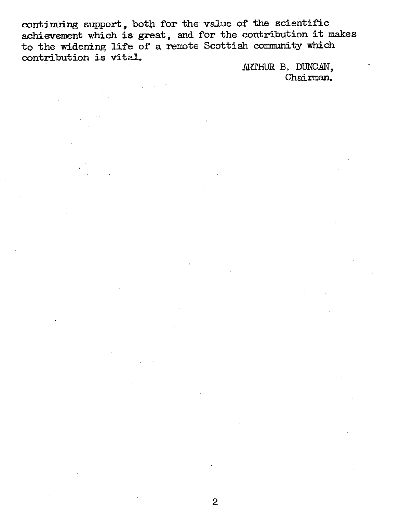continuing support, both for the value of the scientific achievement which is great, and for the contribution it makes to the widening life of a remote Scottish community which contribution is vital.

> ARTHUR B. DUNCAN, Chairman.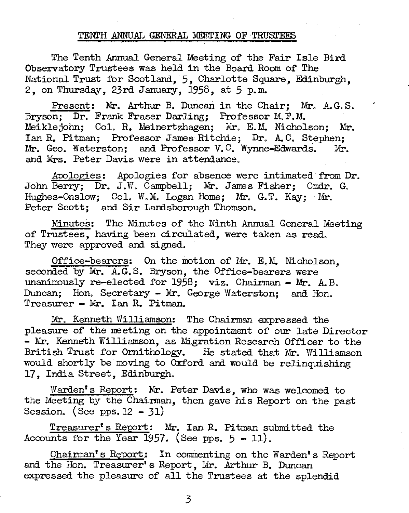### TENTH ANNUAL GENERAL MEETING OF TRUSTEES

The Tenth Annual General Meeting of the Fair Isle Bird. Observatory Trustees was held in the Board Room of The National Trust for Scotland, 5, Charlotte Square, Edinburgh, 2, on Thursday, 23rd January, 1958, at 5 p. m.

Present: Mr. Arthur B. Duncan in the Chair; Mr. A. G.S. Bryson; Dr. Frank Fraser Darling; Professor M.F.M. Meiklejohn; Col. R. Meinertzhagen; Mr. E.M. Nicholson; Mr. Ian R. Pitman; Professor James Ritchie; Dr. A.C. Stephen; Mr. Geo. Waterston; and Professor V.C. Wynne-Edwards. Mr. and Mrs. Peter Davis were in attendance.

Apologies: Apologies for absence were intimated from Dr. John Berry; Dr. J.W. Campbell; Mr. James Fisher; Cmdr. G. Hughes-Onslow; Col. W.M. Logan Home; Mr. G.T. Kay: Mr. Peter Scott; and Sir Landsborough Thomson.

Minutes: The Minutes of the Ninth Annual General Meeting of Trustees, having been circulated, were taken as read. They were approved and signed.

Office-bearers: On the motion of Mr. E.M. Nicholson. seconded by Mr. A.G.S. Bryson, the Office-bearers were unanimously re-elected for  $1958$ ; viz. Chairman - Mr. A. B. Duncan: Hon. Secretary - Mr. George Waterston; and Hon.  $T$ reasurer - Mr. Ian R. Pitman.

Mr. Kenneth Williamson: The Chairman expressed the pleasure of the meeting on the appointment of our late Director - Mr. Kenneth Williamson, as Migration Research Officer to the British Trust for Ornithology. He stated that Mr. Williamson He stated that Mr. Williamson would shortly be' moving to Oxford and would be relinquishing 17, India Street, Edinburgh.

Warden's Report: Mr. Peter Davis, who was welcomed to the Meeting by the Chairman, then gave his Report on the past Session. (See pps.  $12 - 31$ )

Treasurer's Report: Mr. Ian R. Pitman submitted the Accounts for the Year 1957. (See pps.  $5 - 11$ ).

Chairman's Report: In commenting on the Warden's Report and the Hon. Treasurer's Report, Mr. Arthur B. Duncan expressed the pleasure of all the Trustees at the splendid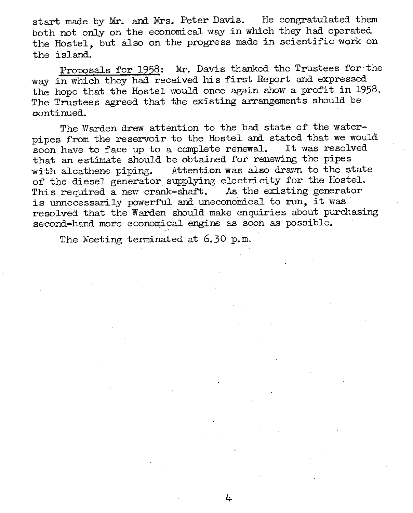start made by Mr. and Mrs. Peter Davis. He congratulated them both not only on the economical way in which they had operated the Hostel, but also on the progress made in scientific work on the island.

Proposals for 1958: Mr. Davis thanked the Trustees for the way in which they had received his first Report and expressed the hope that the Hostel would once again show a profit in 1958. The Trustees agreed that the existing arrangements should be continued.

The Warden drew attention to the bad state of the waterpipes from the reservoir to the Hostel and stated that we would soon have to face up to a complete renewal. It was resolved that an estimate should be obtained for renewing the pipes with alcathene piping. Attention was also drawn to the state of the diesel generator supplying electricity for the Hostel. This required a new crank-shaft. As the existing generator is unnecessarily powerful and uneconomical to run, it was resolved that the Warden should make enquiries about purchasing second-hand more economical engine as soon as possible.

4

The Meeting terminated at 6.30 p.m.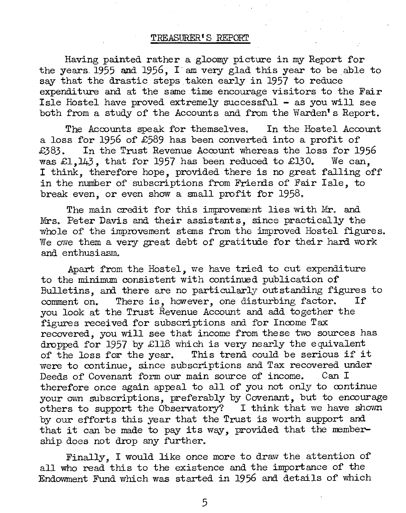### TREASURER t S REPORT

Having painted rather a gloomy picture in my Report for the years. 1955 and 1956, I' am very glad this year to be able to say that the drastic steps taken early in 1957 to reduce expenditure and at the same time encourage visitors to the Fair Isle Hostel have proved extremely successf'ul - as you will see both from a study of the Accounts and from the Warden's Report.

The Accounts speak for themselves. In the Hostel Account a loss for 1956 of £589 has been converted into a profit of £383. In the Trust Revenue Account whereas the loss for 1956 was £1.143, that for 1957 has been reduced to £130. We can. was  $£1,143$ , that for 1957 has been reduced to £130. I think, therefore hope, provided there is no great falling off in the number of subscriptions from Friends of Fair Isle, to break even, or even show a small profit for 1958.

The main credit for this improvement lies with Mr. and Mrs. Peter Davis and their assistants, since practically the whole of the improvement sterns from the improved Hostel figures. We owe them a very great debt of gratitude for their hard work and. enthusiasm.

Apart from the Hostel, we have tried to cut expenditure to the minimum consistent with continued publication of Bulletins, and there are no particularly outstanding figures to comment on. There is, however, one disturbing factor. If you look at the Trust Revenue Account and add together the figures received for subscriptions and for Income Tax recovered, you will see that income from these two sources has dropped for 1957 by £118 which is very nearly the equivalent of the loss for the year. This trend could be serious if it were to continue, since subscriptions and Tax recovered under Deeds of Covenant form our main source of income. Can I therefore once again appeal to all of you not only to continue your *ovm* subscriptions, preferably by Covenant, but to encourage others to support the Observatory? I think that we have shown by our efforts this year that the Trust is worth support and that it can be made to pay its way, provided that the membership does not drop any further.

Finally, I would like once more to draw the attention of all who read this to the existence and the importance of the Endowment Fund which was started in 1956 and details of which

5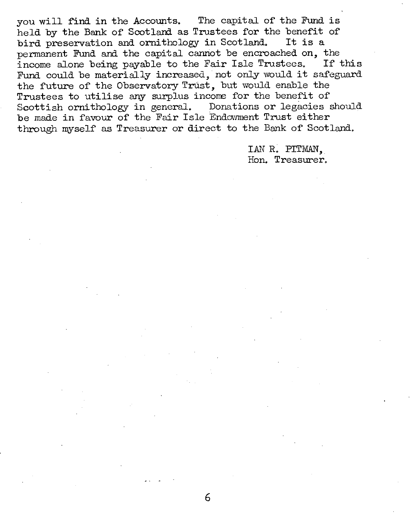you will find in the Accounts. The capital of the Fund is held by the Bank of Scotland as Trustees for the benefit of<br>bird preservation and ornithology in Scotland. It is a bird preservation and ornithology in Scotland. permanent Fund and the capital cannot be encroached on, the income alone being payable to the Fair Isle Trustees. If this Fund could be materially increased, not only would it safeguard the future of the Observatory Trust, but would enable the Trustees to utilise any surplus incone for the benefit of Scottish ornithology in general. Donations or legacies should be made in favour of the Fair Isle Endowment Trust either through myself as Treasurer or direct to the Bank of Scotland.

> IAN R. PITMAN, Hon. Treasurer.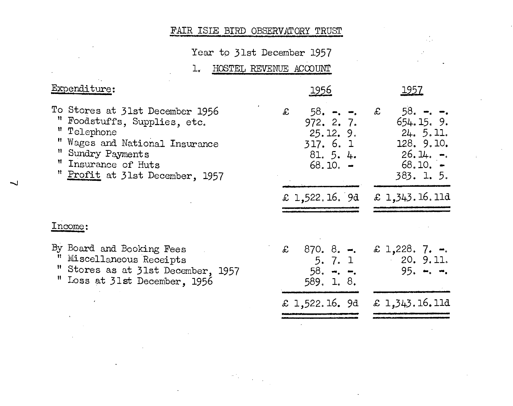# FAIR ISLE BIRD OBSERVATORY TRUST

Year to 31st December 1957

 $\frac{1}{2}$  ,

HOSTEL REVENUE ACCOUNT  $\mathbf{L}_{\mathbf{r}}$ 

| Expenditure:                                                                                                                                                                                    | <u> 1956</u>                                                                 | <u> 1957</u>                                                                                        |
|-------------------------------------------------------------------------------------------------------------------------------------------------------------------------------------------------|------------------------------------------------------------------------------|-----------------------------------------------------------------------------------------------------|
| To Stores at 31st December 1956<br>" Foodstuffs, Supplies, etc.<br>" Telephone<br>" Wages and National Insurance<br>" Sundry Payments<br>" Insurance of Huts<br>" Profit at 31st December, 1957 | £<br>$58. -  -.$<br>972.2.7.<br>25.12.9.<br>317.6.1<br>81.5.4.<br>$68.10. -$ | $58. -  -$<br>£<br>654.15.9.<br>24. 5.11.<br>128. 9.10.<br>$26.14.$ $-$<br>$68.10. -$<br>383. 1. 5. |
|                                                                                                                                                                                                 | £ 1,522.16. 9d                                                               | £ 1,343.16.11d                                                                                      |
| Income:                                                                                                                                                                                         |                                                                              |                                                                                                     |
| By Board and Booking Fees<br>" Miscellaneous Receipts<br>" Stores as at 31st December, 1957<br>" Loss at 31st December, 1956                                                                    | £ $870.8. -$<br>5.7.1<br>$58. - -$<br>589. 1. 8.                             | £ 1,228. 7. $-$ .<br>20.9.11.<br>$95. - - -$                                                        |
|                                                                                                                                                                                                 | £ 1,522.16. 9d                                                               | £ $1,343.16.11d$                                                                                    |
|                                                                                                                                                                                                 |                                                                              |                                                                                                     |

 $\frac{1}{2} \frac{d^2 \mathbf{r}}{d\mathbf{r}} = \frac{1}{2} \frac{1}{2} \frac{d^2 \mathbf{r}}{d\mathbf{r}}$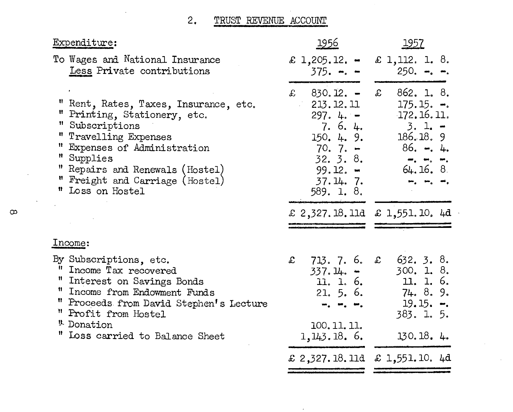#### TRUST REVENUE ACCOUNT  $2.$

| Expenditure:                                                                                                                                                                                                                                              | <u> 1956 </u>                                                                                                               | <u> 1957 </u>                                                                                                                                                                                                                                                                                                                                                                                                                                                      |
|-----------------------------------------------------------------------------------------------------------------------------------------------------------------------------------------------------------------------------------------------------------|-----------------------------------------------------------------------------------------------------------------------------|--------------------------------------------------------------------------------------------------------------------------------------------------------------------------------------------------------------------------------------------------------------------------------------------------------------------------------------------------------------------------------------------------------------------------------------------------------------------|
| To Wages and National Insurance<br>Less Private contributions                                                                                                                                                                                             | £ 1,205.12. $-$<br>$375. -  -$                                                                                              | £ 1,112. 1. 8.<br>250. <del>-</del> . <del>-</del> .                                                                                                                                                                                                                                                                                                                                                                                                               |
| " Rent, Rates, Taxes, Insurance, etc.<br>" Printing, Stationery, etc.<br>" Subscriptions<br>" Travelling Expenses<br>" Expenses of Administration<br>" Supplies<br>" Repairs and Renewals (Hostel)<br>" Freight and Carriage (Hostel)<br>" Loss on Hostel | £ 830.12. –<br>213.12.11<br>$297.4. -$<br>7.6.4.<br>150, 4, 9.<br>$70.7. -$<br>32.3.8.<br>99.12. -<br>37.14.7<br>589. 1. 8. | 862. 1. 8.<br>$\mathfrak{X}$<br>$175.15. -$<br>$-172.16.11.$<br>$3.1 -$<br>186.18.9<br>86. –. 4.<br>$\overline{a}$ , $\overline{a}$ , $\overline{a}$ , $\overline{a}$ , $\overline{a}$ , $\overline{a}$ , $\overline{a}$ , $\overline{a}$ , $\overline{a}$ , $\overline{a}$ , $\overline{a}$ , $\overline{a}$ , $\overline{a}$ , $\overline{a}$ , $\overline{a}$ , $\overline{a}$ , $\overline{a}$ , $\overline{a}$ , $\overline{a}$ , $\overline{a}$ ,<br>64.16.8 |
|                                                                                                                                                                                                                                                           |                                                                                                                             | £ 2,327.18.11d £ 1,551.10.4d                                                                                                                                                                                                                                                                                                                                                                                                                                       |
| Income:                                                                                                                                                                                                                                                   |                                                                                                                             |                                                                                                                                                                                                                                                                                                                                                                                                                                                                    |
| By Subscriptions, etc.<br>Ħ.<br>Income Tax recovered<br>" Interest on Savings Bonds<br>" Income from Endowment Funds<br>" Proceeds from David Stephen's Lecture<br>" Profit from Hostel<br><sup>1</sup> Donation<br>" Loss carried to Balance Sheet       | 713.7.6.<br>$\mathbf{f}$<br>$337.14. -$<br>11. 1. 6.<br>21.5.6.<br>$m_1 - m_2 - m_3$<br>100.11.11.<br>1, 143.18.6.          | 632.3.8.<br>£<br>300. 1. 8.<br>11. 1. 6.<br>74. 8. 9.<br>$19.15. -$<br>383.1.5.<br>130.18.4.                                                                                                                                                                                                                                                                                                                                                                       |
|                                                                                                                                                                                                                                                           |                                                                                                                             | £ 2,327.18.11d £ 1,551.10. 4d                                                                                                                                                                                                                                                                                                                                                                                                                                      |

 $\infty$ 

 $\ddot{\phantom{a}}$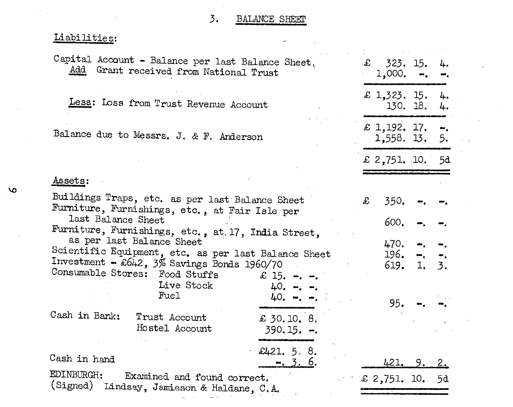#### $3.$ BALANCE SHEET

 $\overline{\phantom{a}}$ 

 $\mathcal{A}$ 

l.

# Liabilities:

 $\bar{a}$ 

| Capital Account - Balance per last Balance Sheet,<br>Add Grant received from National Trust                                                                                                                        |                                    | £ 323.15.<br>$1,000, -$               |                         | 4.                                |  |
|--------------------------------------------------------------------------------------------------------------------------------------------------------------------------------------------------------------------|------------------------------------|---------------------------------------|-------------------------|-----------------------------------|--|
| Less: Loss from Trust Revenue Account                                                                                                                                                                              |                                    | £ 1,323. 15. 4.                       | 130. 18. 4.             |                                   |  |
| Balance due to Messrs. J. & F. Anderson                                                                                                                                                                            |                                    | £ 1,192. 17. $-$ .<br>$1,558.$ 13. 5. |                         |                                   |  |
|                                                                                                                                                                                                                    |                                    |                                       | £ 2,751. 10. 5d         |                                   |  |
| Assets:                                                                                                                                                                                                            |                                    |                                       |                         |                                   |  |
| Buildings Traps, etc. as per last Balance Sheet<br>Furniture, Furnishings, etc., at Fair Isle per                                                                                                                  | £                                  | 350.                                  |                         |                                   |  |
| last Balance Sheet<br>Furniture, Furnishings, etc., at. 17, India Street,<br>as per last Balance Sheet<br>Scientific Equipment, etc. as per last Balance Sheet<br>Investment $\sim$ £642, 3% Savings Bonds 1960/70 |                                    | 600.<br>470.<br>196.                  | $\bullet$<br>619. 1. 3. | $\overline{a}$ , $\overline{a}$ , |  |
| Consumable Stores: Food Stuffs $\therefore$ 15. -. -.<br>Live Stock<br>Fuel                                                                                                                                        | 40. <del>-</del> . -.<br>$40. - -$ |                                       | 95.                     |                                   |  |
| Cash in Bank:<br>Trust Account<br>Hostel Account                                                                                                                                                                   | £ 30.10. 8.<br>$390.15 -$          |                                       |                         |                                   |  |
| Cash in hand                                                                                                                                                                                                       | £421, 5.8.<br>$-.3.6.$             |                                       | 421, 9.2.               |                                   |  |
| EDINBURGH;<br>Examined and found correct.<br>(Signed) Lindsay, Jamieson & Haldane, C.A.                                                                                                                            |                                    |                                       | £ 2,751. 10. 5d         |                                   |  |

 $\mathbf \omega$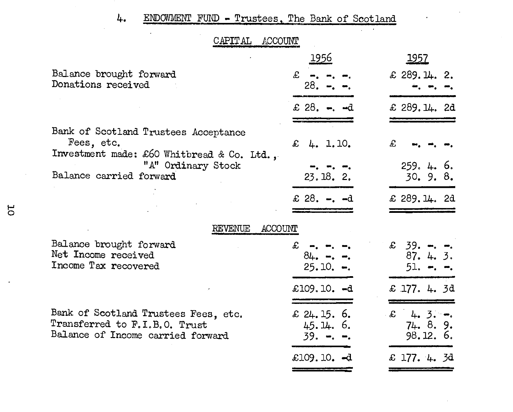# 4. ENDOWMENT FUND - Trustees, The Bank of Scotland

 $\sim$ 

 $\sim 10$ 

 $\ddot{\phantom{0}}$ 

| CAPITAL<br>ACCOUNT                                                                                                                                |                                            |                                                       |
|---------------------------------------------------------------------------------------------------------------------------------------------------|--------------------------------------------|-------------------------------------------------------|
|                                                                                                                                                   | 1956                                       | <u> 1957 </u>                                         |
| Balance brought forward<br>Donations received                                                                                                     | £.<br>$28. - -$                            | $£$ 289.14. 2.                                        |
|                                                                                                                                                   | £ 28. $-$ , $- d$                          | £ 289.14.2d                                           |
| Bank of Scotland Trustees Acceptance<br>Fees, etc.<br>Investment made: £60 Whitbread & Co. Ltd.,<br>"A" Ordinary Stock<br>Balance carried forward | £ 4. 1.10.<br>23.18.2.<br>£ 28. $-$ . $-d$ | £<br>259.4.6.<br>30.9.8.<br>$£$ 289.14. 2d            |
| ACCOUNT<br>REVENUE                                                                                                                                |                                            |                                                       |
| Balance brought forward<br>Net Income received<br>Income Tax recovered                                                                            | £.<br>$84. - - -$<br>$25.10. -.$           | $£ 39. - . - .$<br>87. 4. 3.<br>51. <del>-</del> . -. |
|                                                                                                                                                   | £109.10. -d                                | £ 177. 4. 3d                                          |
| Bank of Scotland Trustees Fees, etc.<br>Transferred to F.I.B.O. Trust<br>Balance of Income carried forward                                        | £ 24.15.6.<br>45.14.6.<br>$39. - - -$      | $\mathcal{L}$ 4. 3. -.<br>74. 8. 9.<br>98.12.6.       |
|                                                                                                                                                   | £109.10. $-d$                              | £ 177. 4. 3d                                          |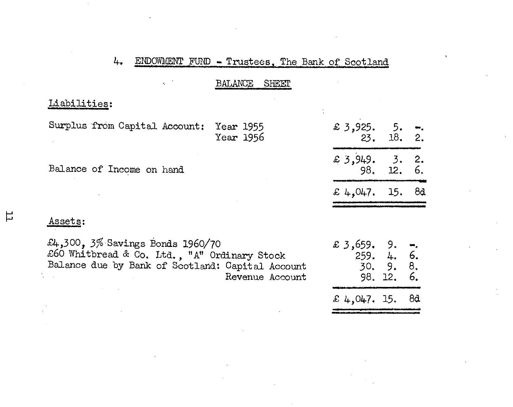#### ENDOWMENT FUND - Trustees, The Bank of Scotland L.,

| BALANCE | <b>SHEET</b> |  |
|---------|--------------|--|
|         |              |  |

Liabilities:

Surplus from Capital Account: Year 1955 Year 1956

Balance of Income on hand

| £ 3,925. | 5.  | ⊷. |
|----------|-----|----|
| 23.      | 18. | 2. |
| £ 3,949. | 3.  | 2. |
| 98.      | 12. | 6. |
| £ 4,047. | 15. | 82 |
|          |     |    |

Assets:

出

£4,300, 3% Savings Bonds 1960/70 £60 Whitbread & Co. Ltd., "A" Ordinary Stock<br>Balance due by Bank of Scotland: Capital Account Revenue Account

| £ 3,659.<br>259. | 9.<br>4.<br>30.9.<br>98. 12. | œ,<br>6.<br>8.<br>6. |
|------------------|------------------------------|----------------------|
| £ 4,047. 15.     |                              | 84                   |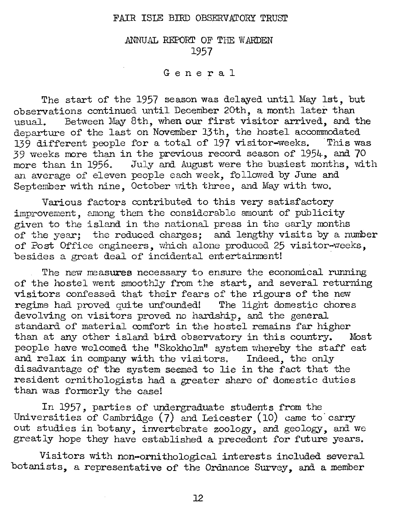## FAIR ISLE BIRD OBSERVATORY TRUST

ANNUAL REPORT OF THE WARDEN 1957

# General

The start of the 1957 season was delayed until May 1st, but observations continued until December 20th, a month later than usual. Between May 8th, when our first visitor arrived, and the departure of the last on November 13th, the hostel accommodated 139 different people for a total of  $197$  visitor-weeks. This was 39 weeks more than in the previous record season of 1954, and. 70 more than in 1956. July and August were the busiest months, with an average of eleven people each week, followed by June and September with nine, October with three, and May with two.

Various factors contributed to this very satisfactory improvement, among them the considerable amount of publicity given to the island in the national press in the early months of the year; the reduced charges; and lengthy visits by a number of Post Office engineers, which alone produced 25 visitor-weeks, besides a great deal of incidental entertainment!

The new measures necessary to ensure the economical running of the hostel went smoothly from the start, and several returning visitors confessed that their fears of the rigours of the new regime had proved quite unfounded! The light domestic chores devolving on visitors proved no hardship, and the general standard of material comfort in the hostel remains far higher than at any other island bird observatory in this country. Most people have welcomed the "Skokholm" system whereby the staff eat and relax in company with the visitors. Indeed, the only disadvantage of the system seemed to lie in the fact that the resident ornithologists had a greater share of domestic duties than was formerly the case!

In 1957, parties of undergraduate students from the Universities of Cambridge  $(7)$  and Leicester  $(10)$  came to carry out studies in botany, invertebrate zoology, and geology, and we greatly hope they have established a precedent for future years.

Visitors with non-ornithological interests included several botanists, a representative of the Ordnance Survey, and a member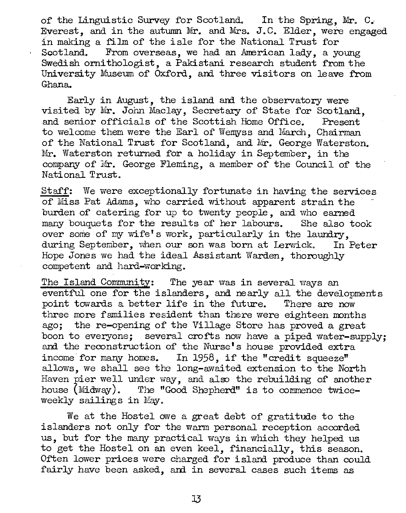of the Linguistic Survey for Scotland. In the Spring, Mr. C. Everest, and in the autumn Mr. and Mrs. J.C. Elder, were engaged in making a film of the isle for the National Trust for Scotland. From overseas, we had an American lady, a vo From overseas, we had an American lady, a young Swedish ornithologist, a Pakistani research student from the University Museum of Oxford, and three visitors on leave from Ghana.

Early in August, the island and the observatory were visited by Mr. John Maclay, Secretary of State for Scotland, and senior officials of the Scottish Home Office. Present and senior officials of the Scottish Home Office. to welcome them were the Earl of Wemyss and March, Chairman of the National Trust for Scotland, and Mr. George Waterston. Mr. Waterston returned for a holiday in September, in the company of Mr. George Fleming, a member of the Council of the National Trust.

Staff: We were exceptionally fortunate in having the services of Miss Pat Adams, who carried without apparent strain the burden of catering for up to twenty people, and who earned many bouquets for the results of her labours. She also took over some of my wife's work, particularly in the laundry,<br>during September, when our son was born at Lerwick. In Peter during September, when our son was born at Lerwick. Hope Jones we had the ideal Assistant Warden, thoroughly competent and hard-working.

The Island Community: The year was in several ways an eventful one for the islanders, and nearly all the developments point towards a better life in the future. There are now point towards a better life in the future. three more families resident than there were eighteen months ago; the re-opening of the Village Store has proved a great boon to everyone; several crofts now have a piped water-supply; and the reconstruction of' the Nurse's house provided extra income for many homes. In 1958, if the "credit squeeze" allows, we shall see the long-awaited extension to the North Haven pier well under way, and also the rebuilding of another house (Midway). The "Good Shepherd" is to commence twiceweekly sailings in May.

We at the Hostel owe a great debt of gratitude to the islanders not only for the warm personal reception accorded us, but for the many practical ways in which they helped us to get the Hostel on an even keel, financially, this season. Often lower prices were charged for island produce than could fairly have been asked, and in several cases such items as

l3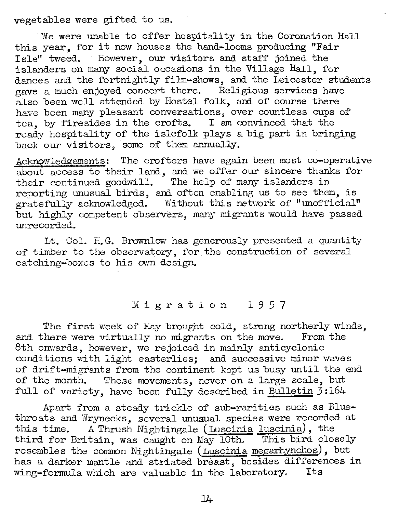vegetables were gifted· to us.

We were unable to offer hospitality in the Coronation Hall this year, for it now houses the hand-looms producing "Fair Isle" tweed. However, our visitors and staff joined the islanders on many social occasions in the Village Hall, for dances and the fortnightly film-shows, and the Leicester students gave a much enjoyed concert there. Religious services have also been well attended by Hostel folk, and of course there have been many pleasant conversations, over countless cups of tea, by firesides in the crofts. I am convinced that the ready hospitality of the islefolk plays a big part in bringing back our visitors, some of them annually.

Acknowledgements: The crofters have again been most co-operative about access to their land, and we offer our sincere thanks for their continued goodwill. The help of many islanders in reporting unusual birds, and often enabling us to sec them, is gratefully acknowledged. Without this network of "unofficial" but highly competent observers, many migrnnts would have passed unrecorded.

Lt. Col. H.G. Brownlow has generously presented a quantity of timber to the observatory, for the construction of several catching-boxes to his own design.

# Migration 1957

The first week of May brought cold, strong northerly winds, there were virtually no migrants on the move. From the and there were virtually no migrants on the move. 8th onwards, however, we rejoiced in mainly anticyclonic conditions with light easterlies; and successive minor waves of drift-migrants from the continent kcpt us busy until the end of the month. These movements, never on a large scale, but full of variety, have been fully described in Bulletin  $3:164$ 

Apart from a steady trickle of sub-rarities such as Bluethroats and Wrynecks, several unuaual species were recorded at this time. A Thrush Nightingale (Luscinia luscinia), the third for Britain, was caught on May lOth. This bird closely resembles the common Nightingale (Luscinia megarhynchos), but has a darker mantle and striated breast, besides differences in wing-formula which are valuable in the laboratory. Its

14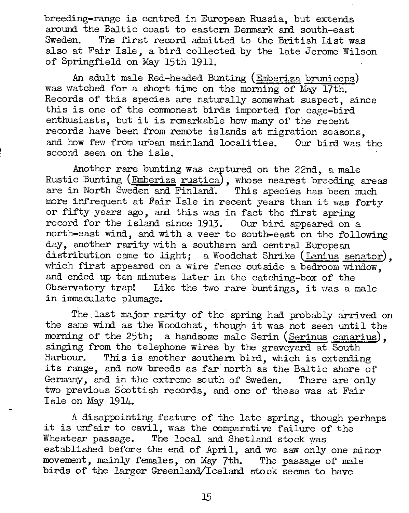breeding-range is centred in European Russia, but extends around the Baltic coast to eastern Denmark and south-east<br>Sweden. The first record admitted to the British List was The first record admitted to the British List was also at Fair Isle, a bird collected by the late Jerome Wilson of Springfield on May 15th 1911.

An adult male Red-headed Bunting (Emberiza bruniceps) was watched for a short time on the morning of May 17th. Records of this species are naturally somewhat suspect, since this is one of the commonest birds imported for cage-bird enthusiasts, but it is remarkable how many of the recent records have been from remote islands at migration seasons, and how few from urban mainland localities. Our bird was the second seen on the isle.

Another rare bunting was captured on the 22nd, a male Rustic Bunting (Emberiza rustica), whose nearest breeding areas are in North Sweden and Finland. This species has been much more infrequent at Fair Isle in recent years than it was forty or fifty years ago, and this was in fact the first spring record for the island since 1913. Our bird appeared on a north-east wind, and with a veer to south-east on the following day, another rarity with a southern and central European distribution came to light; a Woodchat Shrike (Lanius senator), which first appeared on a wire fence outside a bedroom window, and ended up ten minutes later in the catching-box of the Observatory trap! Like the two rare buntings, it was a male in immaculate plumage.

The last major rarity of the spring had probably arrived on the same wind as the Woodchat, though it was not seen until the morning of the 25th; a handsome male Serin (Serinus canarius), singing from the telephone wires by the graveyard at South Harbour. This is another southern bird, which is extending This is another southern bird, which is extending its range, and now breeds as far north as the Baltic shore of Germany, and in the extreme south of Sweden. There are only two previous Scottish records, and one of these was at Fair I sle on May 1914.

A disappointing feature of the late spring, though perhaps it is unfair to cavil, was the comparative failure of the Wheatear passage. The local and Shetland stock was established before the end of April, and we saw only one minor movement, mainly females, on May 7th. The passage of male birds of' the larger Greenland/Iceland stock seems to have

15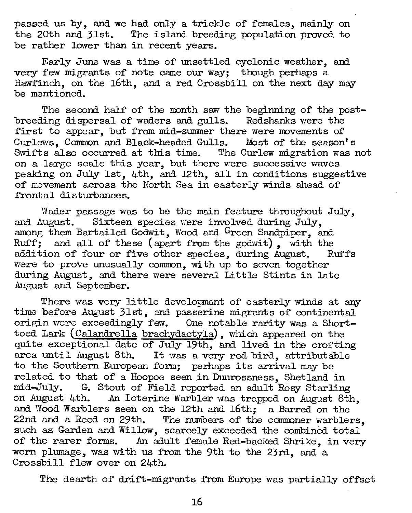passed us by, and we had only a trickle of females, mainly on the 20th and 31st. The island breeding population proved to be rather lower than in recent years.

Early June was a time of unsettled cyclonic weather, and. very few migrants of note came our way; though perhaps a Hawf'inch, on the 16th, and a red Crossbill on the next day may be mentioned.

The second half of the month saw the beginning of the post-<br>ting dispersal of waders and gulls. Redshanks were the breeding dispersal of waders and gulls. first to appear, but from mid-summer there were movements of Curlevvs, Common and Black-headed Gulls. Most of the season's Swifts also occurred at this time. The Curlew migration was not on a large scale this year, but there were successive waves peaking on July 1st, 4th, and. 12th, all in conditions suggestive of movement across the North Sea in easterly winds ahead of frontal disturbances.

Wader passage was to be the main feature throughout July, and August. Sixteen species were involved during July. among them Bartailed Godwit, Wood and Green Sandpiper, and  $Ruff$ , and all of these (apart from the godwit), with the addition of four or five other species, during August. Ruffs addition of four or five other species, during August. were to prove unusually common, with up to seven together during August, and there were several Little Stints in late August and. September.

There was very little development of easterly winds at any time before August 31st, and passerine migrants of continental origin were exceedingly few. One notable rarity was a Shorttoed Lark (Calandrella brachydactyla), which appeared on the quite exceptional date of July 19th, and lived in the crofting area until August 8th. It was a very red bird, attributable to the Southern European form; perhaps its arrival may be related to that of a Hoopoe seen in Dunrossness, Shetland in mid-July. G. Stout of Field reported an adult Rosy Starling on August 4th. An Icterine Warbler was trapped on August 8th, and Wood Warblers seen on the 12th and 16th; a Barred on the 22nd and a Reed on 29th. The numbers of the commoner warblers, such as Garden and Willow, scarcely exceeded the combined total of the rarer forms. An adult female Red-backed Shrike, in very worn plumage, was with us from the 9th to the 23rd, and a Crossbill flew over on 24th.

The dearth of drift-migrants from Europe was partially offset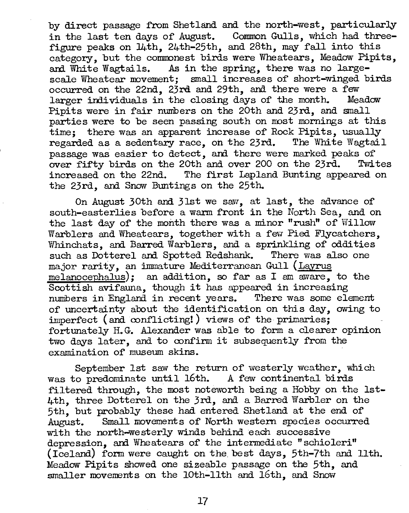by direct passage f'rom Shetland. and. the north-west, particularly in the last ten days of August. Common Gulls, which had threefigure peaks on 14th, 24th-25th, and 28th, may fall into this category, but the commonest birds were Wheatears, Meadow Pipits, and White Wagtails. As in the spring, there was no largescale Wheatear movement; small increases of short-winged birds occurred on the 22nd. 23rd and 29th, and there were a few larger individuals in the closing days of the month. Meadow Pipits were in fair nunibers on the 20th and 23rd, and small parties were to be seen passing south on most mornings at this time; there was an apparent increase of Rock Pipits, usually regarded as a sedentary race, on the 23rd. The White Wagtail passage was easier to detect, and there were marked peaks of over fifty birds on the 20th and over 200 on the 23rd. Twites over fifty birds on the 20th and over 200 on the 23rd.<br>increased on the 22nd. The first Lapland Bunting appear The first Lapland Bunting appeared on the 23rd, ani Snow Buntings on the 25th.

On August 30th and. 31st we saw, at last, the advance of south-easterlies before a warm front in the North Sea, and on the last day of the month there was a minor "rush" of Willow Warblers and Wheatears, together with a few Pied Flycatchers, Whinchats, and Barred Warblers, and a sprinkling of oddities such as Dotterel and Spotted Redshank. major rarity, an immature Mediterranean Gull (Layrus melanocephalus); an addition, so far as I am aware, to the Scottish avifauna, though it has appeared in increasing<br>numbers in England in recent vears. There was some element numbers in England in recent years. of uncertainty about the identification on this day, owing to  $imperfect$  (and conflicting!) views of the primaries; fortunately H.G. Alexander was able to form a clearer opinion two days later, and to confirm it subsequently from the examination of museum skins.

September 1st saw the return of westerly weather, which is predominate until  $16th$ . A few continental birds was to predominate until  $16th$ . filtered through, the most noteworth being a Hobby on the Ist-4th, three Dotterel on the 3rd, and a Barred Warbler on the 5th, but probably these had entered Shetland at the end of August. Small movements of North western species occurred with the north-westerly winds behind each successive depression, and Wheatears of the intermediate "schioleri" (Iceland) form were caught on the best days, 5th-7th and 11th. Meadow Pipits showed one sizeable passage on the 5th, and smaller movements on the 10th-11th and 16th, and Snow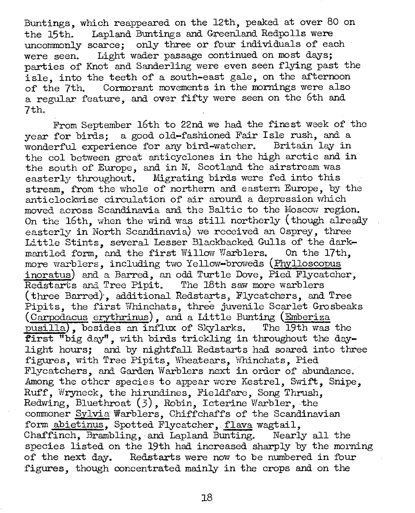Buntings, which reappeared on the 12th, peaked at over 80 on the 15th. Lapland Buntings and Greenland Redpolls were uncommonly scarce; only three or four individuals of each were seen. Light wader passage continued on most days; parties of Knot and Sanderling were even seen flying past the isle, into the teeth of a south-east gale, on the afternoon of the 7th. Cormorant movements in the mornings were also a regular feature, and over fifty were seen on the 6th and 7th.

From September 16th to 22nd we had the finest week of the year for birds; a good old-fashioned Fair Isle rush, and a wonderful experience for any bird-watcher. Britain lay in the col between great anticyclones in the high arctic and in the south of Europe, and in N. Scotland the airstream was easterly throughout. Migrating birds were fed into this stream, from the whole of northern and eastern Europe, by the anticlockwise circulation of air around a depression which moved across Scandinavia and the Baltic to the Moscow region. On the 16th, when the wind was still northerly (though already easterly in North Scandinavia) we received an Osprey, three Little Stints, several Lesser Blackbacked Gulls of the darkmantled form, and the first Willow Warblers. On the 17th, more warblers, including two Yellow-broweds (Phylloscopus inoratus) and a Barred, an odd Turtle Dove, Pied Flycatcher, Redstarts and Tree Pipit. The 18th saw more warblers (three Barred), additional Redstarts, Flycatchers, and Tree Pipits, the first Whinchats, three juvenile Scarlet Grosbeaks (Carpodacus erythrinus), and a Little Bunting (Emberiza pusilla), besides an influx of Skylarks. The 19th was the first "big day", with birds trickling in throughout the daylight hours; and by nightfall Redstarts had soared into three figures, with Tree Pipits, Wheatears, Whinchats, Pied Flycatchers, and Garden Warblers next in order of abundance. Among the other species to appear were Kestrel, Swift, Snipe, Ruff, Wryneck, the hirundines, Fieldfare, Song Thrush, Redwing, Bluethroat  $(3)$ , Robin, Icterine Warbler, the commoner Sylvia Warblers, Chiffchaffs of the Scandinavian form abietinus, Spotted Flycatcher, flava wagtail, Chaffinch, Brambling, and Lapland Bunting. Nearly all the species listed on the 19th had increased sharply by the morning of the next day. Redstarts were now to be numbered in four figures, though concentrated mainly in the crops and on the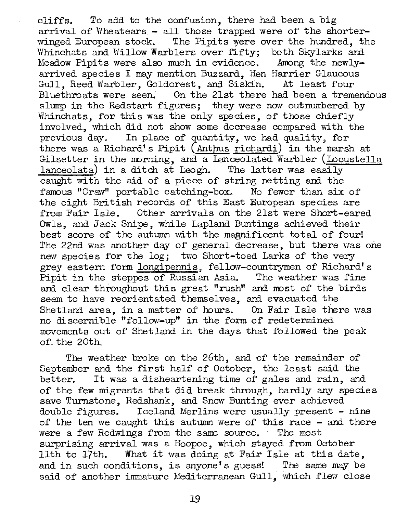cliffs. To add to the confusion, there had been a big arrival of Wheatears - all those trapped were of the shorterwinged European stock. The Pipits were over the hundred, the Whinchats and Willow Warblers over fifty; both Skylarks and Meadow Pipits were also much in evidence. Among the newlyarrived species I may mention Buzzard, Hen Harrier Glaucous Gull, Reed Warbler, Goldcrest, and Siskin. At least four<br>Bluethroats were seen. On the 21st there had been a treme On the 21st there had been a tremendous slump in the Redstart figures; they were now outnumbered by Whinchats, for this was the only species, of those chiefly involved, which did not show some decrease compared with the previous day. In place of quantity, we had quality, for there was a Richard's Pipit (Anthus richardi) in the marsh at Gilsetter in the morning, and a Lanceolated Warbler (Locustella lanceolata) in a ditch at Leogh. The latter was easily caught with the aid of a piece of string netting and the famous "Craw" portable catching-box. No fewer than six of the eight British records of this East European species are from Fair Isle. other arrivals on the 21st were Short-eared Owls, and Jack Snipe, while Lapland Buntings achieved their best score of the autumn with the magnificent total of four! The 22nd was another day of general decrease, but there was one new species for the log; two Short-toed Larks of the very grey eastern form longipennis, fellow-countrymen of Richard's Pipit in the steppes of Russian Asia. The weather was fine and clear throughout this great "rush" and most of the birds seem to have reorientated themselves, and evacuated the<br>Shetland area, in a matter of hours. On Fair Isle there was Shetland area, in a matter of hours. no discernible "follow-up" in the form of redetermined movements out of Shetland in the days that followed the peak of\_ the 20th,

The weather broke on the 26th, and of the remainder of September and the first half of October, the least said the better. It was a disheartening time of gales and rain, and It was a disheartening time of gales and rain, and of the few migrants that did break through, hardly any species save Turnstone, Redshank, and Snow Bunting ever achieved double figures. Iceland Merlins were usually present - nine of the ten we caught this autumn were of this race - and there were a few Redwings from the same source. The most surprising arrival was a Hoopoe, which stayed from October 11th to 17th. What it was doing at Fair Isle at this date, and in such conditions, is anyone's guess! The same may be said of another immature Mediterranean Gull, which flew close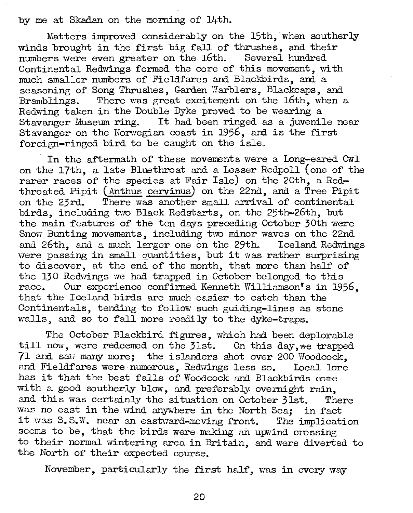by me at Skadan on the morning of 14th.

Matters improved considerably on the 15th, when southerly winds brought in the first big fall of thrushes, and their numbers were even greater on the 16th. Several hundred Continental Redwings formed the core of this movement, with much smaller numbers of Fieldfares and Blackbirds, and a seasoning of Song Thrushes, Garden Warblers, Blackcaps, and Bramblings. There was great excitement on the 16th, when a Redwing taken in the Double Dyke proved to be wearing a Stavanger Museum ring. It had been ringed as a juvenile near Stavanger on the Norwegian coast in 1956, and is the first foreign-ringed bird to be caught on the isle.

In the aftermath of these movements were a Long-eared Owl on the 17th, a late Bluethroat and a Lesser Redpoll (one of the rarer races of the species at Fair Isle) on the 20th, a Redthroated Pipit (Anthus cervinus) on the 22nd, and a Tree Pipit on the 23rd. There was another small arrival of continental birds, including two Black Redstarts, on the 25th-26th, but the main features of the ten days preceding October 30th were Snow Bunting movements, including two minor waves on the 22nd and 26th, and a much larger one on the 29th. Iceland Redwings were passing in small quantities, but it was rather surprising to discover, at the end of the month, that more than half of the 130 Redwings we had trapped in October belonged to this race. Our experience confirmed Kenneth Williamson's in  $19^{\circ}$ Our experience confirmed Kenneth Williamson's in 1956, that the Iceland birds are much easier to catch than the Continentals, tending to follow such guiding-lines as stone walls, and so to fall more readily to the dyke-traps.

The October Blackbird. figures, which had been deplorable till now, were redeemed on the 31st. On this day, we trapped 71 and saw many more; the islanders shot over 200 Woodcock, and Fieldfares were numerous, Redwings less so. Local lore has it that the best falls of Woodcock and Blackbirds come with a good southerly blow, and preferably overnight rain, and this was certainly the situation on October 31st. There was no east in the wind anywhere in the North Sea; in fact it was  $S.S.W.$  near an eastward-moving front. The implication seems to be, that the birds were making an upwind crossing to their normal wintering area in Britain, and were diverted to the North of their expected course.

November, particularly the first half, was in every way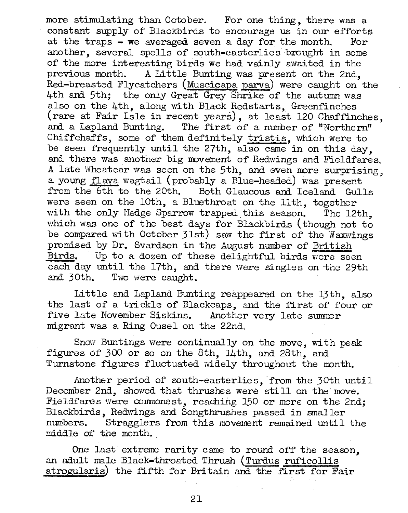more stimulating than October. For one thing, there was a constant supply of Blackbirds to encourage us in our efforts at the traps - we averaged seven a day for the month. For another, several spells of south-easterlies brought in some of the more interesting birds we had vainly awaited in the previous month. A Little Bunting was present on the 2nd, Red-breasted Flycatchers (Muscicapa parva) were caught on the 4th and 5th; the only Great Grey Shrike of the autumn was also on the 4th, along with Black Redstarts, Greenfinches (rare at Fair Isle in recent years), at least 120 Chaffinches, and a Lapland Bunting. The first of a number of "Northern" Chiffchaffs, some of them definitely tristis, which were to be seen frequently until the 27th, also came in on this day, and. there was another big movement of Redwings and Fieldfares. A late Wheatear was seen on the 5th, and even more surprising, a young flava wagtail (probably a Blue-headed) was present from the 6th to the 20th. Both Glaucous and Iceland Gulls were seen on the 10th, a Bluethroat on the 11th, together with the only Hedge Sparrow trapped this season. The 12th, which was one of the best days for Blackbirds (though not to be compared with October 31st) saw the first of the Waxwings promised by Dr. Svardson in the August number of British<br>Birds. Up to a dozen of these delightful birds were sec Up to a dozen of these delightful birds were seen each day until the 17th, and there were singles on the 29th and 30th. Two were caught.

Little and Lapland Bunting reappeared on the 13th, also the last of a trickle of Blackcaps, and the first of four or five late November Siskins. Another very late summer five late November Siskins. migrant was a Ring Ousel on the 22nd.

Snow Buntings were continually on the move, with peak figures of 300 or so on the 8th, 14th, and 28th, and. Turnstone figures fluctuated widely throughout the month.

Another period of south-easterlies, from the 30th until December 2nd, showed that thrushes were still on the move. Fieldfares were commonest, reaching 150 or more on the 2nd; Blackbirds, Redwings and Songthrushes passed in smaller Stragglers from this movement remained until the middle of' the month.

One last extreme rarity came to round off the season, an adult male Black-throated Thrush (Turdus ruficollis atrogularis) the fifth for Britain and the first for Fair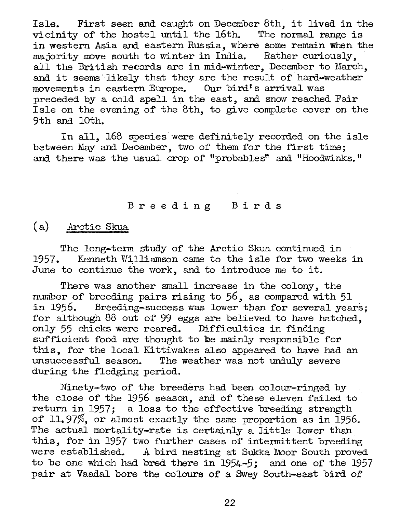Isle. First seen and caught on December 8th, it lived in the vicinity of the hostel until the 16th. The normal range is in western Asia and eastern Russia, where some remain when the majority move south to winter in India. Rather curiously, . all the British records are in mid-winter, December to March, and it seems· likely that they are the result of hard-weather movements in eastern Europe. Our bird's arrival was preceded by a cold spell in the east, and snow reached Fair Isle on the evening of the 8th, to give complete cover on the 9th and lOth.

In all, l68 species were definitely recorded on the isle between May and December, two of them for the first time; and there was the usual crop of "probables" and "Hoodwinks."

## Breeding B i r d <sup>s</sup>

# (a) Arctic Skua

The long-term study of the Arctic Skua continued in 1957. Kenneth Williamson came to the isle for two weeks in June to continue the work, and to introduce me to it.

There was another small increase in the colony, the number of breeding pairs rising to 56, as compared with 51 in 1956. Breeding-success was lower than for several vea Breeding-success was lower than for several years; for although 88 out of 99 eggs are believed to have hatched, only 55 chicks were reared. Difficulties in finding sufficient food are thought to be mainly responsible for this, for the local Kittiwakes also appeared to have had an The weather was not unduly severe during the fledging period.

Ninety-two of the breeders had been colour-ringed by the close of the 1956 season, and of these eleven failed to return in 1957; a loss to the effective breeding strength of 11.97%, or almost exactly the same proportion as in 1956. The actual mortality-rate is certainly a little lower than this, for in 1957 two further cases of intermittent breeding were established. A bird nesting at Sukka Moor South proved to be one which had. bred there in 1954-5; and one of the 1957 pair at Vaadal bore the colours of a Swey South-east bird. of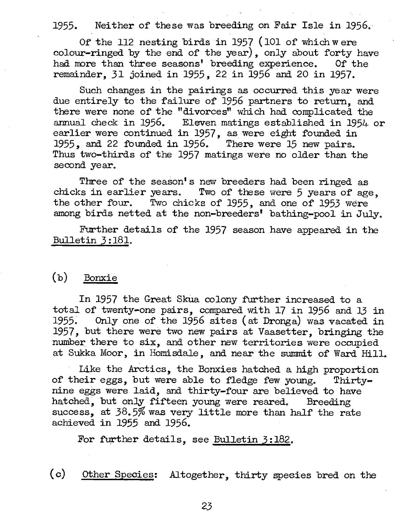1955. Nei ther of these was breeding on Fair Isle in 1956.

Of the 112 nesting birds in 1957 (101 of which were colour-ringed by the end of the year), only about forty have had more than three seasons' breeding experience. Of the remainder, 31 joined in 1955, 22 in 1956 and 20 in 1957.

Such changes in the pairings as occurred this year were due entirely to the failure of 1956 partners to return, and there were none of the "divorces" which had complicated the armual check in 1956. Eleven matings established in 1954 or earlier were continued in 1957, as were eight founded in 1955, and 22 founded in 1956. There were  $15$  new pairs. Thus two-thirds of the 1957 matings were no older than the second year.

Three of the season's new breeders had been ringed as chicks in earlier years. Two of these were 5 years of age, the other four. Two chicks of 1955, and one of 1953 were among birds netted at the non-breeders' bathing-pool in July.

Further details of the 1957 season have appeared in the Bulletin 3 :181.

# (b) Bonxie

In 1957 the Great Skua colony further increased to a total of twenty-one pairs, compared with 17 in 1956 and 13 in 1955. Only one of the 1956 sites (at Dronga) was vacated in 1957, but there were two new pairs at Vaasetter, bringing the number there to six, and other new territories were occupied at Sukka Moor, in Homisdale, and near the summit of Ward Hill.

Like the Arctics, the Bonxies hatched a high proportion of their eggs, but were able to fledge few young. Thirtynine eggs were laid, and thirty-four are believed to have hatched, but only fifteen young were reared. Breeding success, at 38.5% was very little more than half the rate achieved in 1955 and 1956.

For further details, see Bulletin 3:182.

(c) Other Species: Altogether, thirty species bred on the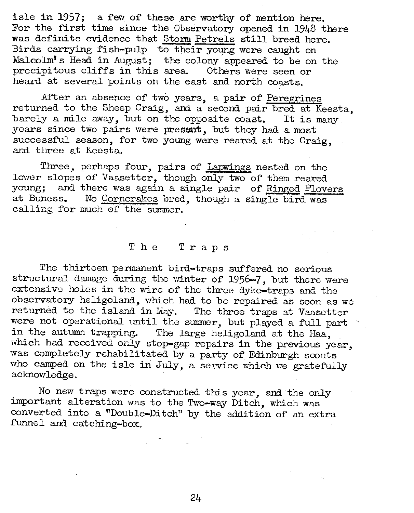isle in 1957; a few of these are worthy of mention here. For the first time since the Observatory opened in 1948 there was definite evidence that Storm Petrels still breed here. Birds carrying fish-pulp to their young were caught on Malcolm's Head in August; the colony appeared to be on the precipitous cliffs in this area. Others were seen or precipitous cliffs in this area. heard at several points on the east and north coasts.

After an absence of two years, a pair of Peregrines returned to the Sheep Craig, and a second pair bred at Keesta, barely a mile away, but on the opposite coast. It is many years since two pairs were present, but they had a most successful season, for two young were reared at the Craig, and tllree at Keesta.

Three, perhaps four, pairs of Lapwings nested on the lower slopes of Vaasetter, though only two of them reared young: and there was again a single pair of Ringed Ploye young; and there was again a single pair of Ringed Plovers<br>at Buness. No Cornerakes bred, though a single bird was No Corncrakes bred, though a single bird was calling for much of the summer.

# The Traps

The thirteen permanent bird-traps suffered no serious structural damage during the winter of 1956-7, but there were extensive holes in the wire of the three dyke-traps and the observatory heligoland, which had to be repaired as soon as we returned to the island in May. The three traps at Vaasetter returned to the island in May. were not operational until the summer, but played a full part<br>in the autumn trapping. The large heligoland at the Haa The large heligoland at the Haa. which had received only stop-gap repairs in the previous year, was completely rehabilitated by a party of Edinburgh scouts who camped on the isle in July, a service which we gratefully acknowledge.

No new traps were constructed this year, and the only important alteration was to the Two-way Ditch, which was converted into a "Double-Ditch" by the addition of an extra funnel and catching-box.

24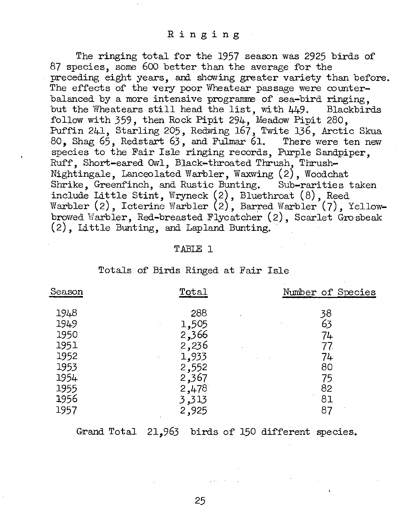The ringing total for the 1957 season was 2925 birds of 87 species, some 600 better than the average for the preceding eight years, ani showing greater variety than before. The effects of the very poor Wheatear passage were counterbalanced by a more intensive programme of sea-bird ringing, but the Wheatears still head the list, with  $449$ . Blackbirds follow with 359, then Rock Pipit 294, Meadow Pipit 280, Puffin 241, Starling 205, Redwing 167, Twite 136, Arctic Skua 80, Shag 65, Redstart 63, and Fulmar 61. There were ten new. species to the Fair Isle ringing records, Purple Sandpiper, Ruff, Short-eared Owl, Black-throated Thrush-Thrush-Nightingale, Lanceolated Warbler, Waxwing (2), Woodchat Shrike, Greenfinch, and Rustic Bunting. Sub-rarities taken include Little Stint, Wryneck (2), Bluethroat (8), Reed Warbler  $(2)$ , Icterine Warbler  $(2)$ , Barred Warbler  $(7)$ , Yellowbrowed Warbler, Red-breasted Flycatcher (2), Scarlet Grosbeak (2), Little Bunting, and Lapland Bunting.

### TABLE 1

| Season | Total | Number of Species |
|--------|-------|-------------------|
| 1948   | 288   | 38                |
| 1949   | 1,505 | 63                |
| 1950   | 2,366 | 74                |
| 1951   | 2,236 | 77.               |
| 1952   | 1,933 | 74                |
| 1953   | 2,552 | 80                |
| 1954   | 2,367 | 75                |
| 1955   | 2,478 | 82                |
| 1956   | 3,313 | 81                |
| 1957   | 2,925 | 87                |

Totals of Birds Ringed at Fair Isle

Grand Total 21,963 birds of 150 different species.

25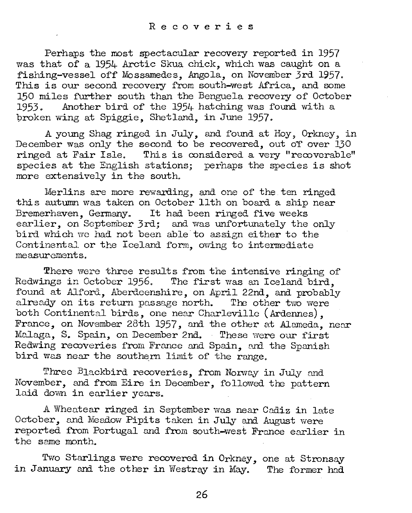Perhaps the most spectacular recovery reported in 1957 was that of a 1954- Arctic Skua chick, which was caught on a fishing-vessel off Mossamedes, Angola, on November 3rd 1957. This is our second recovery from south-west Africa, and some 150 miles further south than the Benguela recovery of October<br>1953. Another bird of the 1954 hatching was found with a Another bird of the 1954 hatching was found with a broken wing at Spiggie, Shetland, in June 1957.

A young Shag ringed in July, and found at Hoy, Orkney, in December was only the second to be recovered, out of over 130 ringed at Fair Isle. This is considered a very "recoverable" species at the English stations; perhaps the species is shot more extensively in the south.

Merlins are more rewarding, and one of the ten ringed this autumn was taken on October 11th on board a ship near Bremerhaven, Germany. It had been ringed five weeks earlier, on September 3rd; and was unfortunately the only bird which wc had not been able to assign either to the Continental or the Iceland form, owing to intermediate measurements.

There were three results from the intensive ringing of Redwings in October 1956. The first was an Iceland bird. found at Alford. Aberdeenshire, on April 22nd, and probably already on its return passage north. The other two were both Continental birds, one near Charleville (Ardennes), France, on November 28th 1957, and the other at Alameda, near. Malaga, S. Spain, on December 2nd. These were our first Redwing recoveries from France and Spain, and the Spanish bird was near the southern limit of the range.

Three Blackbird recoveries, from Norway in July and November, and from Eire in December, followed the pattern laid down in earlier years.

A Wheatear ringed in September was near Cadiz in late October, and Meadow Pipits taken in July and August were reported from Portugal and from south-west France earlier in the same month.

Two Starlings were recovered in Orkney, one at Stronsay in January and the other in Westray in May. The former had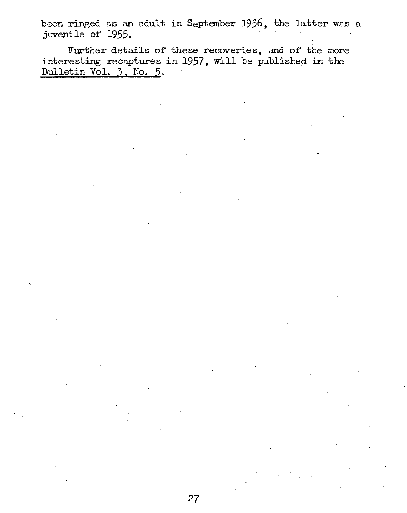been ringed as an adult **in** September 1956, the latter was a juvenile of 1955.

Further details of these recoveries, and of the more interesting recaptures in 1957, will be published in the Bulletin Vol. 3. No. 5.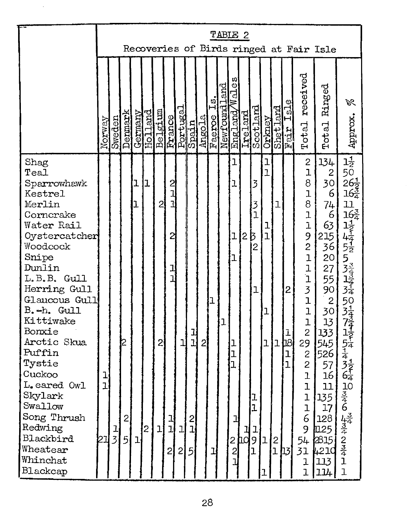|                                                                                                                                                                                                                                                                                                                                                                               |                           | TABLE 2<br>Recoveries of Birds ringed at Fair Isle |                                        |                        |                     |                                        |                                                       |                                     |                               |              |        |     |                                                                                                        |   |                                                                                                   |                                                                              |                                                            |                                                      |                                                                                                                                                                                                                                                                                                                                                  |                                                                                                                                                                                                                             |                                                                                                                                         |
|-------------------------------------------------------------------------------------------------------------------------------------------------------------------------------------------------------------------------------------------------------------------------------------------------------------------------------------------------------------------------------|---------------------------|----------------------------------------------------|----------------------------------------|------------------------|---------------------|----------------------------------------|-------------------------------------------------------|-------------------------------------|-------------------------------|--------------|--------|-----|--------------------------------------------------------------------------------------------------------|---|---------------------------------------------------------------------------------------------------|------------------------------------------------------------------------------|------------------------------------------------------------|------------------------------------------------------|--------------------------------------------------------------------------------------------------------------------------------------------------------------------------------------------------------------------------------------------------------------------------------------------------------------------------------------------------|-----------------------------------------------------------------------------------------------------------------------------------------------------------------------------------------------------------------------------|-----------------------------------------------------------------------------------------------------------------------------------------|
|                                                                                                                                                                                                                                                                                                                                                                               | Norway                    | Sweden                                             | Denmark                                | Germany                | <u>pustroH</u>      | Belgium<br>France<br>Portugal<br>Spain |                                                       |                                     |                               |              |        | and | w<br>ä<br>d<br>Angola<br>Faeroe Is.<br>Newfoundla<br>England Wa                                        |   | <b>Ireland</b><br>Scotland                                                                        |                                                                              | Orkney<br>Shet Land                                        | Isle<br>Fair                                         | received<br>Total                                                                                                                                                                                                                                                                                                                                | Ringed<br>Total                                                                                                                                                                                                             | BL<br>Approx.                                                                                                                           |
| Shag<br>Teal<br>Sparrowhawk<br>Kestrel<br>Merlin<br>Corncrake<br>Water Rail<br>Oystercatcher<br>Woodcock<br>Snipe<br>Dunlin<br>L.B.B. Gull<br>Herring Gull<br>Glaucous Gull<br>B.-h. Gull<br>Kittiwake<br>Bonxie<br>Arctic Skua<br>Puffin<br>Tystie<br>Cuckoo<br>L.eared Owl<br>Skylark<br>Swallow<br>Song Thrush<br>Redwing<br>Blackbird<br>Wheatear<br>Whinchat<br>Blackcap | ı<br>$\overline{1}$<br>21 | $rac{1}{3}$                                        | 12<br>$\overline{2}$<br>$\overline{5}$ | ı<br>ı<br>$\mathbf{I}$ | 1<br>$\overline{2}$ | $\overline{c}$<br>2<br>$\mathbf{I}$    | ひゴゴ<br>$\overline{c}$<br>$\frac{1}{1}$<br>고<br>고<br>2 | ı<br>$\mathbf{I}$<br>$\overline{2}$ | $\frac{1}{1}$<br>2 <br>과<br>5 | $\mathbf{2}$ | ı<br>ı | ı   | ı<br>ı<br>$\overline{1}$<br>ı<br>1<br>$\overline{1}$<br>l<br>괴<br>$\frac{1}{2}$<br>$\overline{c}$<br>ľ | 2 | 3<br>3<br>$\overline{1}$<br>B<br>$\overline{c}$<br>ı<br>ı<br>$\overline{1}$<br>$\frac{1}{9}$<br>ı | ı<br>$\overline{1}$<br>ı<br>$\mathbf{I}$<br>$\mathbf{I}$<br>$\mathbf 1$<br>1 | ı<br>$\mathbf 1$<br>$\begin{bmatrix} 2 \\ 1 \end{bmatrix}$ | $\mathbf{2}$<br>ı<br><b>b</b> 8<br>ı<br>$\mathbf{1}$ | $\overline{\mathbf{c}}$<br>$\overline{1}$<br>8<br>$\overline{1}$<br>8<br>$\overline{1}$<br>$\overline{1}$<br>$9211131$<br>$\overline{1}$<br>$\overline{1}$<br>$\overline{c}$<br>29<br>$\overline{\mathcal{L}}$<br>$\overline{c}$<br>$\overline{1}$<br>$\mathbf{I}$<br>l<br>$\overline{1}$<br>6<br>9<br>54<br>31<br>$\mathbf 1$<br>$\overline{1}$ | 134<br>$\mathbf{2}$<br>30<br>6<br>74<br>6<br>63<br>215<br>36<br>20<br>27<br>55<br>90<br>$\overline{c}$<br>30<br>13<br>133<br>545<br>526<br>57<br>16<br>11<br>135<br>17<br>128<br><b>1</b> 125<br>2815<br>4210<br>113<br>114 | $\overline{1\frac{1}{2}}$<br>50<br>$26\frac{1}{2}$<br>$16\frac{3}{4}$<br>11<br>$10$<br>$346$<br>$434$<br>$234$<br>$1$<br>$\overline{1}$ |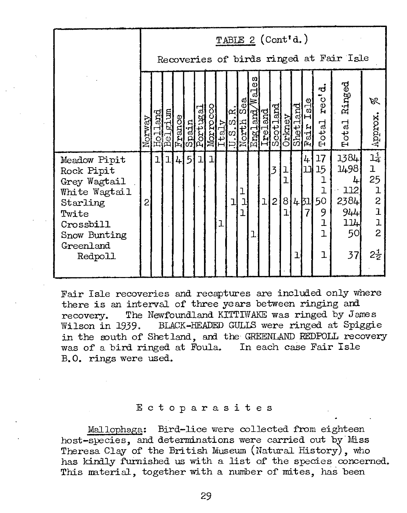|                                                                                                                                       |        | TABLE 2 (Cont'd.)<br>Recoveries of birds ringed at Fair Isle<br>UΣ<br>Ringed<br>۵ì<br>ರ<br>ď |                    |         |                                                                                                                                                                               |   |  |  |  |                    |                                                                                |                |                   |                  |                    |                                  |                                                                      |                                                              |                                                                                                                  |
|---------------------------------------------------------------------------------------------------------------------------------------|--------|----------------------------------------------------------------------------------------------|--------------------|---------|-------------------------------------------------------------------------------------------------------------------------------------------------------------------------------|---|--|--|--|--------------------|--------------------------------------------------------------------------------|----------------|-------------------|------------------|--------------------|----------------------------------|----------------------------------------------------------------------|--------------------------------------------------------------|------------------------------------------------------------------------------------------------------------------|
|                                                                                                                                       |        |                                                                                              |                    |         |                                                                                                                                                                               |   |  |  |  |                    |                                                                                |                |                   |                  |                    |                                  |                                                                      |                                                              |                                                                                                                  |
|                                                                                                                                       | Norway |                                                                                              | Holland<br>Belgium |         | $\begin{array}{l} \frac{\text{France}}{\text{Spanoc}}\\ \frac{\text{Spin}}{\text{Dirugal}}\\ \frac{\text{Notug}}{\text{Ito1}}\\ \frac{\text{Notog}}{\text{Ito1}} \end{array}$ |   |  |  |  | $\frac{\alpha}{2}$ | ≋<br>$\frac{\text{Norti}}{\text{Normal\_and}} \frac{\text{S}_e}{\text{Meari}}$ |                |                   | Orkney           | land<br>-<br>Shet. | $\frac{1}{2}$<br>н<br>air<br>ſα, | rec'<br>$_{\rm{total}}$<br>Ēŧ                                        | Total                                                        | ぷ<br>Approx.                                                                                                     |
| Meadow Pipit<br>Rock Pipit<br>Grey Wagtail<br>White Wagtail<br>Starling<br>Twite<br>Crossbill<br>Snow Bunting<br>Greenland<br>Redpoll | 2      | 1.                                                                                           | ı                  | $ l_+ $ | $\vert 5 \vert$                                                                                                                                                               | ı |  |  |  | ı                  |                                                                                | $\overline{1}$ | 3<br>$\mathbf{2}$ | ı<br>ı<br>8<br>ı | 4BI<br>1           | 4<br>ור<br>7                     | 17<br>15<br>ı<br>l<br>50<br>9<br>$\overline{1}$<br>$\mathbf{I}$<br>ı | 1384<br>1498<br>4<br> 112 <br>2384<br>944<br>114<br>50<br>37 | $1\frac{1}{4}$<br>1<br>25<br>$\mathbf{I}$<br>$\frac{2}{1}$<br>$\overline{1}$<br>$\overline{2}$<br>$2\frac{1}{2}$ |

Fair Isle recoveries and recaptures are included only where there is an interval of three years between ringing and recovery. The Newfoundland KITTIWAKE was ringed by Jan recovery. The Newfoundland KITTIWAKE was ringed by James<br>Wilson in 1939. BLACK-HEADED GULLS were ringed at Spiggie BLACK-HEADED GULLS were ringed at Spiggie in the south of Shetland, and the GREENLAND REDPOLL recovery was of a bird ringed at Foula. In each case Fair Isle B. O. rings were used.

### Ectoparasites

Mallophaga: Bird-lice were collected from eighteen host-species, and determinations were carried out by Miss Theresa Clay of the British Museum (Natural History), who has kindly furnished us with a list of the species concerned. This material, together with a number of mites, has been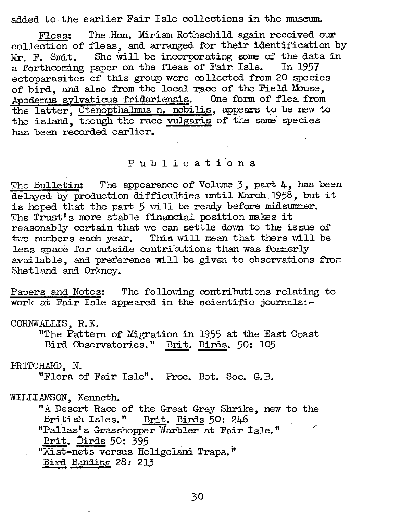added to the earlier Fair Isle collections in the museum.

Fleas: The Hon. Miriam Rothschild again received our collection of fleas, and arranged for their identification by Mr. F. Smit. She will be incorporating some of the data in a forthcoming paper on the fleas of Fair Isle. In 1957 ectoparasites of this group were collected from 20 species of bird, and also from the local race of the Field Mouse, Apodemus sylvaticus fridariensis. One form of flea from the latter, CtenopthaJmus n. nobilis, appears to be new to the island, though the race vulgaris of the same species has been recorded earlier.

### Publications

The Bulletin: The appearance of Volume  $3$ , part  $4$ , has been delayed by production difficulties until March 1958, but it is hoped that the part 5 will be ready before midsummer. The Trust's more stable financial position makes it reasonably certain that we can settle down to the issue of two numbers each year. This will mean that there will be less space for outside contributions than was formerly available, and preference will be given to observations from Shetland and Orkney.

Papers and Notes: The following contributions relating to work at Fair Isle appeared in the scientific journals:-

CORNW.ALLIS, R. K. "The Pattern of Migration in 1955 at the East Coast Bird Observatories." Brit. Birds. 50: 105

PRTICHARD, N.

"Flora of Fair Isle". Froc. Bot. Soc. G. B.

WILLIAMSON, Kenneth.

"A Desert Race of the Great Grey Shrike, new to the British Isles." Brit. Birds 50: 246 "Pa11as's Grasshopper Warbler at Fair Isle." Brit. Birds 50: 395 "Mist-nets versus Heligoland Traps."<br>Bird Banding 28: 213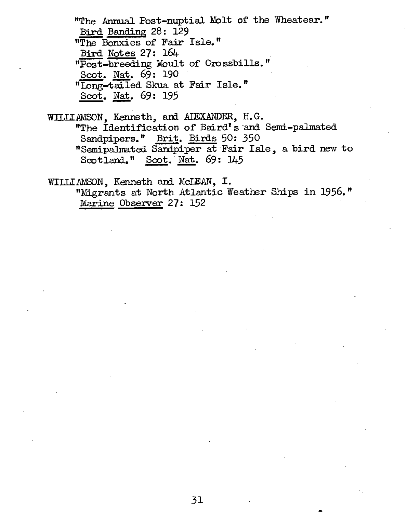"The Annual Post-nuptial Molt of the Wheatear." Bird Banding 28: 129 "The Bonxies of Fair Isle." Bird Notes 27: 164 "Post-breeding Moult of Crossbills." Scot. Nat. 69: 190 "Iong-tailed Skua at Fair Isle." Scot. Nat. 69: 195

WILLIAMSON, Kenneth, and AIEXANDER, H.G. "The Identification of Baird's and Semi-palmated Sandpipers." Brit. Birds 50: 350 "Semipalmated Sandpiper at Fair Isle, a bird new to Scotland." Scot. Nat. 69: 145

WILLIAMSON, Kenneth and McIEAN, I. "Migrants at North Atlantic Weather Ships in 1956." Marine Observer 27: 152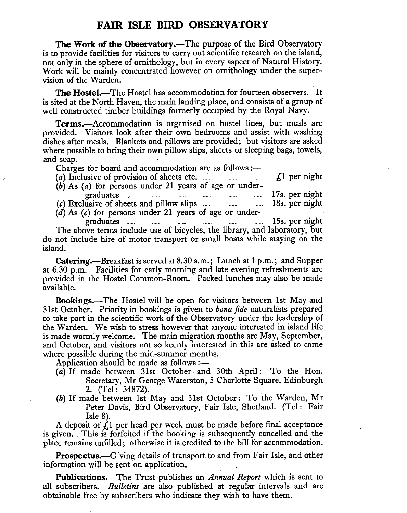## **FAIR ISLE BIRD OBSERVATORY**

The Work of the Observatory.—The purpose of the Bird Observatory is to provide facilities for visitors to carry out scientific research on the island, not only in the sphere of ornithology, but in every aspect of Natural History. Work will be mainly concentrated however on ornithology under the supervision of the Warden.

The Hostel.-The Hostel has accommodation for fourteen observers. It is sited at the North Haven, the main landing place, and consists of a group of well constructed timber buildings formerly occupied by the Royal Navy.

Terms.-Accommodation is organised on hostel lines, but meals are provided. Visitors look after their own bedrooms and assist with washing dishes after meals. Blankets and pillows are provided; but visitors are asked where possible to bring their own pillow slips, sheets or sleeping bags, towels, and soap.

Charges for board and accommodation are as follows :— $(a)$  Inclusive of provision of sheets etc. ......

(a) Inclusive of provision of sheets etc. ...... . £1 per night

- $(b)$  As  $(a)$  for persons under 21 years of age or undergraduates ...... 17s. per night  $(c)$  Exclusive of sheets and pillow slips  $\ldots$   $\ldots$   $\ldots$
- (d) As *(c)* for persons under 21 years of age or under-

graduates ...... 15s. per night The above terms include use of bicycles, the library, and laboratory, but do not include hire of motor transport or small boats while staying on the island.

Catering.—Breakfast is served at 8.30 a.m.; Lunch at 1 p.m.; and Supper at 6.30 p.m. Facilities for early morning and late evening refreshments are provided in the Hostel Common-Room. Packed lunches may also be made available.

Bookings.-The Hostel will be open for visitors between 1st May and 31 st Octo ber. Priority in bookings is given to *bona fide* naturalists prepared to take part in the scientific work of the Observatory under the leadership of the Warden. We wish to stress however that anyone interested in island life is made warmly welcome. The main migration months are May, September, and October, and visitors not so keenly interested in this are asked to come where possible during the mid-summer months.

Application should be made as follows :—

- (a) If made between 31st October and 30th April: To the Hon. Secretary, Mr George Waterston, 5 Charlotte Square, Edinburgh 2. (Tel: 34872).
- (b) If made between 1st May and 31st October: To the Warden, Mr Peter Davis, Bird Observatory, Fair Isle, Shetland. (Tel: Fair Isle 8).

A deposit of  $f<sub>i</sub>$  per head per week must be made before final acceptance is given. This is forfeited if the booking is subsequently cancelled and the place remains unfilled; otherwise it is credited to the bill for accommodation.

**Prospectus.**—Giving details of transport to and from Fair Isle, and other information will be sent on application.

Publications.-The Trust publishes an *Annual Report* which is sent to all subscribers. *Bulletins* are also published at regular intervals and are obtainable free by subscribers who indicate they wish to have them.